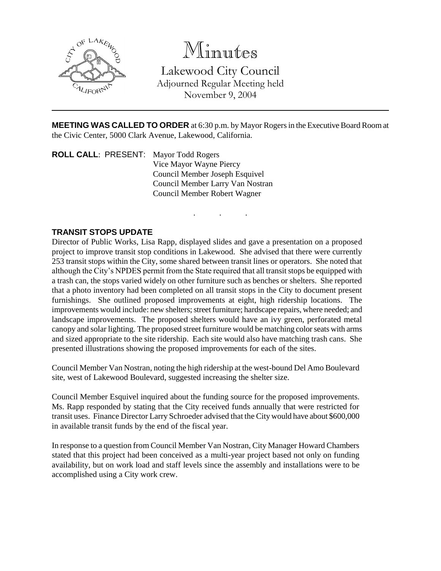

# Minutes

Lakewood City Council Adjourned Regular Meeting held November 9, 2004

**MEETING WAS CALLED TO ORDER** at 6:30 p.m. by Mayor Rogers in the Executive Board Room at the Civic Center, 5000 Clark Avenue, Lakewood, California.

. . .

**ROLL CALL**: PRESENT: Mayor Todd Rogers Vice Mayor Wayne Piercy Council Member Joseph Esquivel Council Member Larry Van Nostran Council Member Robert Wagner

### **TRANSIT STOPS UPDATE**

Director of Public Works, Lisa Rapp, displayed slides and gave a presentation on a proposed project to improve transit stop conditions in Lakewood. She advised that there were currently 253 transit stops within the City, some shared between transit lines or operators. She noted that although the City's NPDES permit from the State required that all transit stops be equipped with a trash can, the stops varied widely on other furniture such as benches or shelters. She reported that a photo inventory had been completed on all transit stops in the City to document present furnishings. She outlined proposed improvements at eight, high ridership locations. The improvements would include: new shelters; street furniture; hardscape repairs, where needed; and landscape improvements. The proposed shelters would have an ivy green, perforated metal canopy and solar lighting. The proposed street furniture would be matching color seats with arms and sized appropriate to the site ridership. Each site would also have matching trash cans. She presented illustrations showing the proposed improvements for each of the sites.

Council Member Van Nostran, noting the high ridership at the west-bound Del Amo Boulevard site, west of Lakewood Boulevard, suggested increasing the shelter size.

Council Member Esquivel inquired about the funding source for the proposed improvements. Ms. Rapp responded by stating that the City received funds annually that were restricted for transit uses. Finance Director Larry Schroeder advised that the City would have about \$600,000 in available transit funds by the end of the fiscal year.

In response to a question from Council Member Van Nostran, City Manager Howard Chambers stated that this project had been conceived as a multi-year project based not only on funding availability, but on work load and staff levels since the assembly and installations were to be accomplished using a City work crew.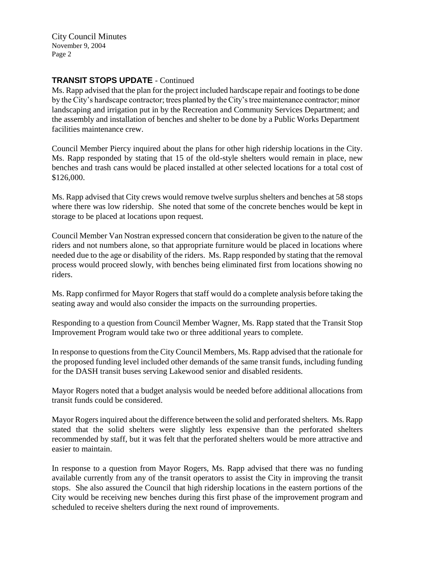City Council Minutes November 9, 2004 Page 2

## **TRANSIT STOPS UPDATE** - Continued

Ms. Rapp advised that the plan for the project included hardscape repair and footings to be done by the City's hardscape contractor; trees planted by the City's tree maintenance contractor; minor landscaping and irrigation put in by the Recreation and Community Services Department; and the assembly and installation of benches and shelter to be done by a Public Works Department facilities maintenance crew.

Council Member Piercy inquired about the plans for other high ridership locations in the City. Ms. Rapp responded by stating that 15 of the old-style shelters would remain in place, new benches and trash cans would be placed installed at other selected locations for a total cost of \$126,000.

Ms. Rapp advised that City crews would remove twelve surplus shelters and benches at 58 stops where there was low ridership. She noted that some of the concrete benches would be kept in storage to be placed at locations upon request.

Council Member Van Nostran expressed concern that consideration be given to the nature of the riders and not numbers alone, so that appropriate furniture would be placed in locations where needed due to the age or disability of the riders. Ms. Rapp responded by stating that the removal process would proceed slowly, with benches being eliminated first from locations showing no riders.

Ms. Rapp confirmed for Mayor Rogers that staff would do a complete analysis before taking the seating away and would also consider the impacts on the surrounding properties.

Responding to a question from Council Member Wagner, Ms. Rapp stated that the Transit Stop Improvement Program would take two or three additional years to complete.

In response to questions from the City Council Members, Ms. Rapp advised that the rationale for the proposed funding level included other demands of the same transit funds, including funding for the DASH transit buses serving Lakewood senior and disabled residents.

Mayor Rogers noted that a budget analysis would be needed before additional allocations from transit funds could be considered.

Mayor Rogers inquired about the difference between the solid and perforated shelters. Ms. Rapp stated that the solid shelters were slightly less expensive than the perforated shelters recommended by staff, but it was felt that the perforated shelters would be more attractive and easier to maintain.

In response to a question from Mayor Rogers, Ms. Rapp advised that there was no funding available currently from any of the transit operators to assist the City in improving the transit stops. She also assured the Council that high ridership locations in the eastern portions of the City would be receiving new benches during this first phase of the improvement program and scheduled to receive shelters during the next round of improvements.